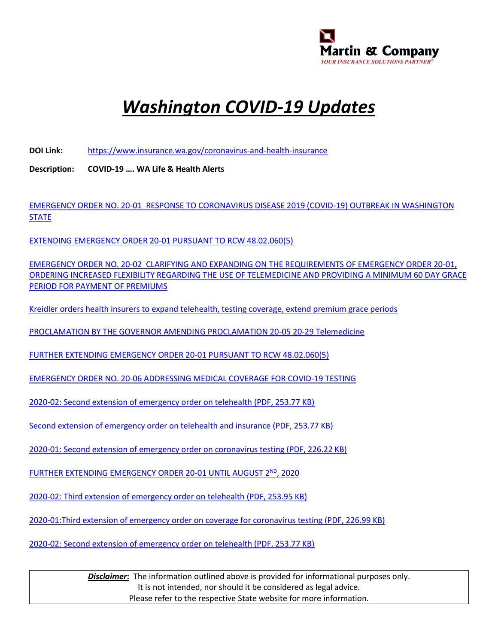

## *Washington COVID-19 Updates*

**DOI Link:** <https://www.insurance.wa.gov/coronavirus-and-health-insurance>

**Description: COVID-19 …. WA Life & Health Alerts**

[EMERGENCY ORDER NO. 20-01 RESPONSE TO CORONAVIRUS DISEASE 2019 \(COVID-19\) OUTBREAK IN WASHINGTON](https://www.insurance.wa.gov/sites/default/files/documents/emergency-order-number-20-01.pdf)  **[STATE](https://www.insurance.wa.gov/sites/default/files/documents/emergency-order-number-20-01.pdf)** 

[EXTENDING EMERGENCY ORDER 20-01 PURSUANT TO RCW 48.02.060\(5\)](https://www.insurance.wa.gov/sites/default/files/documents/extension-emergency-order-number-20-01_0.pdf)

[EMERGENCY ORDER NO. 20-02 CLARIFYING AND EXPANDING ON THE REQUIREMENTS OF EMERGENCY ORDER 20-01,](https://www.insurance.wa.gov/sites/default/files/documents/emergency-order-20-02_3.pdf)  [ORDERING INCREASED FLEXIBILITY REGARDING THE USE OF TELEMEDICINE AND PROVIDING A MINIMUM 60 DAY GRACE](https://www.insurance.wa.gov/sites/default/files/documents/emergency-order-20-02_3.pdf)  [PERIOD FOR PAYMENT OF PREMIUMS](https://www.insurance.wa.gov/sites/default/files/documents/emergency-order-20-02_3.pdf)

[Kreidler orders health insurers to expand telehealth, testing coverage, extend premium grace periods](https://www.insurance.wa.gov/news/kreidler-orders-health-insurers-expand-telehealth-testing-coverage-extend-premium-grace)

[PROCLAMATION BY THE GOVERNOR AMENDING PROCLAMATION 20-05 20-29 Telemedicine](https://www.governor.wa.gov/sites/default/files/proclamations/20-29%20Coronovirus%20OIC%20%28tmp%29.pdf)

[FURTHER EXTENDING EMERGENCY ORDER 20-01 PURSUANT TO RCW 48.02.060\(5\)](https://www.insurance.wa.gov/sites/default/files/documents/emergency-order-number-20-01-extension-2.pdf)

[EMERGENCY ORDER NO. 20-06 ADDRESSING MEDICAL COVERAGE FOR COVID-19 TESTING](https://www.insurance.wa.gov/sites/default/files/documents/emergency-order-surprise-billing-20-06_0.pdf)

[2020-02: Second extension of emergency order on telehealth \(PDF, 253.77 KB\)](https://www.insurance.wa.gov/media/9246)

[Second extension of emergency order on telehealth and insurance \(PDF, 253.77 KB\)](https://www.insurance.wa.gov/media/9246)

[2020-01: Second extension of emergency order on coronavirus testing \(PDF, 226.22 KB\)](https://www.insurance.wa.gov/media/9212)

[FURTHER EXTENDING EMERGENCY ORDER 20-01 UNTIL AUGUST 2](https://www.insurance.wa.gov/sites/default/files/documents/third-extension-emergency-order-number-20-01-covid.pdf)<sup>ND</sup>, 2020

[2020-02: Third extension of emergency order on telehealth \(PDF, 253.95 KB\)](https://www.insurance.wa.gov/media/9309)

[2020-01:Third extension of emergency order on coverage for coronavirus testing \(PDF, 226.99 KB\)](https://www.insurance.wa.gov/media/9276)

[2020-02: Second extension of emergency order on telehealth \(PDF, 253.77 KB\)](https://www.insurance.wa.gov/media/9246)

**Disclaimer:** The information outlined above is provided for informational purposes only. It is not intended, nor should it be considered as legal advice. Please refer to the respective State website for more information.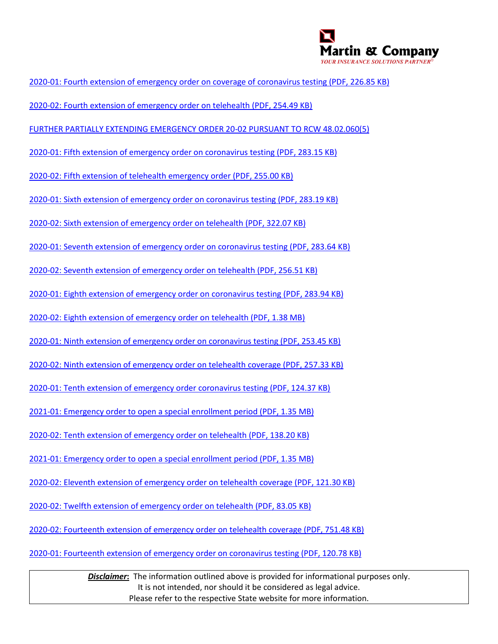

- [2020-01: Fourth extension of emergency order on coverage of coronavirus testing \(PDF, 226.85 KB\)](https://www.insurance.wa.gov/media/9329)
- [2020-02: Fourth extension of emergency order on telehealth \(PDF, 254.49 KB\)](https://www.insurance.wa.gov/media/9374)
- [FURTHER PARTIALLY EXTENDING EMERGENCY ORDER 20-02 PURSUANT TO RCW 48.02.060\(5\)](https://www.insurance.wa.gov/sites/default/files/documents/final-emergency-order-20-02-fourth-extension.pdf)
- [2020-01: Fifth extension of emergency order on coronavirus testing \(PDF, 283.15 KB\)](https://www.insurance.wa.gov/media/9438)
- [2020-02: Fifth extension of telehealth emergency order \(PDF, 255.00 KB\)](https://www.insurance.wa.gov/media/9458)
- [2020-01: Sixth extension of emergency order on coronavirus testing \(PDF, 283.19 KB\)](https://www.insurance.wa.gov/media/9566)
- [2020-02: Sixth extension of emergency order on telehealth \(PDF, 322.07 KB\)](https://www.insurance.wa.gov/media/9656)
- [2020-01: Seventh extension of emergency order on coronavirus testing \(PDF, 283.64 KB\)](https://www.insurance.wa.gov/media/9702)
- [2020-02: Seventh extension of emergency order on telehealth \(PDF, 256.51 KB\)](https://www.insurance.wa.gov/media/9778)
- [2020-01: Eighth extension of emergency order on coronavirus testing \(PDF, 283.94 KB\)](https://www.insurance.wa.gov/media/9803)
- [2020-02: Eighth extension of emergency order on telehealth \(PDF, 1.38 MB\)](https://www.insurance.wa.gov/media/9829)
- [2020-01: Ninth extension of emergency order on coronavirus testing \(PDF, 253.45 KB\)](https://www.insurance.wa.gov/media/9849)
- [2020-02: Ninth extension of emergency order on telehealth coverage \(PDF, 257.33 KB\)](https://www.insurance.wa.gov/media/9872)
- [2020-01: Tenth extension of emergency order coronavirus testing \(PDF, 124.37 KB\)](https://www.insurance.wa.gov/media/9902)
- [2021-01: Emergency order to open a special enrollment period \(PDF, 1.35 MB\)](https://www.insurance.wa.gov/media/9915)
- [2020-02: Tenth extension of emergency order on telehealth \(PDF, 138.20 KB\)](https://www.insurance.wa.gov/media/9914)
- [2021-01: Emergency order to open a special enrollment period \(PDF, 1.35 MB\)](https://www.insurance.wa.gov/media/9915)
- [2020-02: Eleventh extension of emergency order on telehealth](https://www.insurance.wa.gov/media/9966) coverage (PDF, 121.30 KB)
- [2020-02: Twelfth extension of emergency order on telehealth \(PDF, 83.05 KB\)](https://www.insurance.wa.gov/media/10008)
- [2020-02: Fourteenth extension of emergency order on telehealth coverage \(PDF, 751.48 KB\)](https://www.insurance.wa.gov/media/10063)
- [2020-01: Fourteenth extension of emergency order on coronavirus testing \(PDF, 120.78 KB\)](https://www.insurance.wa.gov/media/10044)

*Disclaimer***:** The information outlined above is provided for informational purposes only. It is not intended, nor should it be considered as legal advice. Please refer to the respective State website for more information.